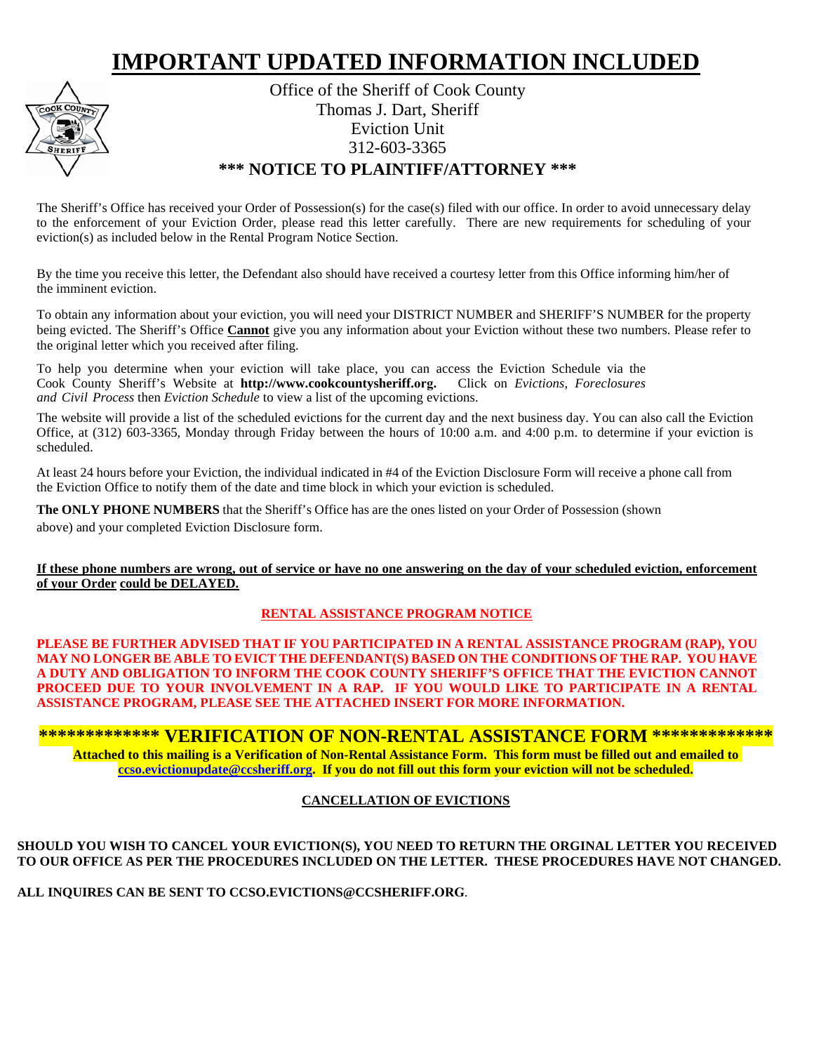# **IMPORTANT UPDATED INFORMATION INCLUDED**



Office of the Sheriff of Cook County Thomas J. Dart, Sheriff Eviction Unit 312-603-3365 **\*\*\* NOTICE TO PLAINTIFF/ATTORNEY \*\*\*** 

The Sheriff's Office has received your Order of Possession(s) for the case(s) filed with our office. In order to avoid unnecessary delay to the enforcement of your Eviction Order, please read this letter carefully. There are new requirements for scheduling of your eviction(s) as included below in the Rental Program Notice Section.

By the time you receive this letter, the Defendant also should have received a courtesy letter from this Office informing him/her of the imminent eviction.

To obtain any information about your eviction, you will need your DISTRICT NUMBER and SHERIFF'S NUMBER for the property being evicted. The Sheriff's Office **Cannot** give you any information about your Eviction without these two numbers. Please refer to the original letter which you received after filing.

To help you determine when your eviction will take place, you can access the Eviction Schedule via the Cook County Sheriff's Website at **[http://www.cookcountysheriff.](http://www.cookcountysheriff.com./)org.** Click on *Evictions, Foreclosures and Civil Process* then *Eviction Schedule* to view a list of the upcoming evictions.

The website will provide a list of the scheduled evictions for the current day and the next business day. You can also call the Eviction Office, at (312) 603-3365, Monday through Friday between the hours of 10:00 a.m. and 4:00 p.m. to determine if your eviction is scheduled.

At least 24 hours before your Eviction, the individual indicated in #4 of the Eviction Disclosure Form will receive a phone call from the Eviction Office to notify them of the date and time block in which your eviction is scheduled.

**The ONLY PHONE NUMBERS** that the Sheriff's Office has are the ones listed on your Order of Possession (shown above) and your completed Eviction Disclosure form.

**If these phone numbers are wrong, out of service or have no one answering on the day of your scheduled eviction, enforcement of your Order could be DELAYED.**

# **RENTAL ASSISTANCE PROGRAM NOTICE**

**PLEASE BE FURTHER ADVISED THAT IF YOU PARTICIPATED IN A RENTAL ASSISTANCE PROGRAM (RAP), YOU MAY NO LONGER BE ABLE TO EVICT THE DEFENDANT(S) BASED ON THE CONDITIONS OF THE RAP. YOU HAVE A DUTY AND OBLIGATION TO INFORM THE COOK COUNTY SHERIFF'S OFFICE THAT THE EVICTION CANNOT PROCEED DUE TO YOUR INVOLVEMENT IN A RAP. IF YOU WOULD LIKE TO PARTICIPATE IN A RENTAL ASSISTANCE PROGRAM, PLEASE SEE THE ATTACHED INSERT FOR MORE INFORMATION.**

### **\*\*\*\*\*\*\*\*\*\*\*\*\* VERIFICATION OF NON-RENTAL ASSISTANCE FORM \*\*\*\*\*\*\*\*\*\*\*\*\* Attached to this mailing is a Verification of Non-Rental Assistance Form. This form must be filled out and emailed to [ccso.evictionupdate@ccsheriff.org.](mailto:ccso.evictionupdate@ccsheriff.org) If you do not fill out this form your eviction will not be scheduled.**

# **CANCELLATION OF EVICTIONS**

### **SHOULD YOU WISH TO CANCEL YOUR EVICTION(S), YOU NEED TO RETURN THE ORGINAL LETTER YOU RECEIVED TO OUR OFFICE AS PER THE PROCEDURES INCLUDED ON THE LETTER. THESE PROCEDURES HAVE NOT CHANGED.**

**ALL INQUIRES CAN BE SENT TO [CCSO.EVICTIONS@CCSHERIFF.](mailto:CCSO.EVICTIONS@CCSHERIFF.COM)ORG**.